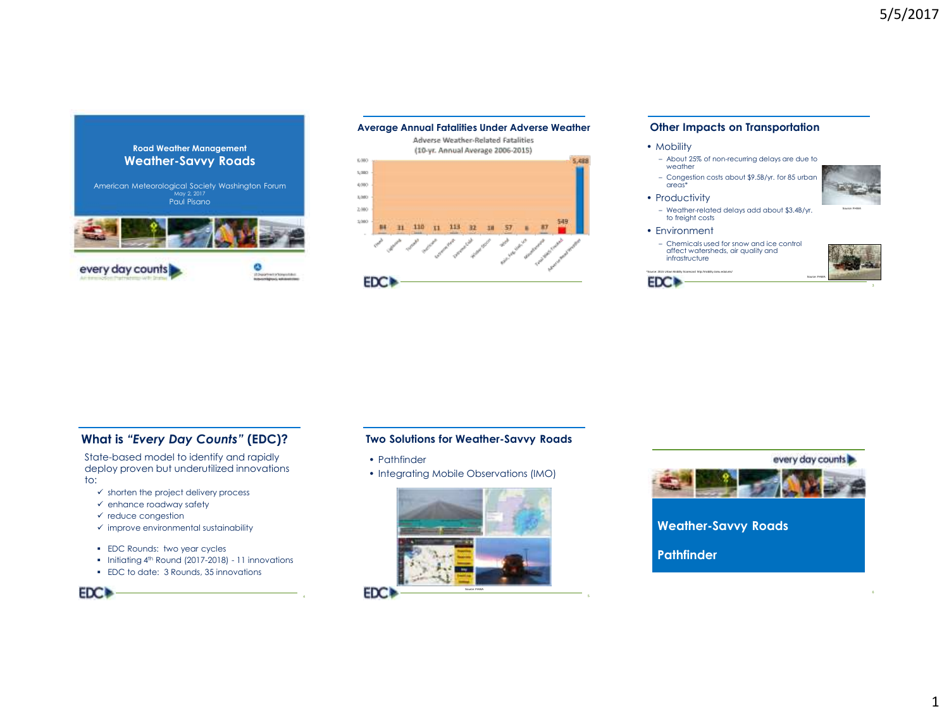



#### **Other Impacts on Transportation**

#### • Mobility

- About 25% of non-recurring delays are due to weather
- Congestion costs about \$9.5B/yr. for 85 urban areas\*



– Weather-related delays add about \$3.4B/yr. to freight costs

#### • Environment

**EDC+** 

\*Source: 2015 Urban Mobility Scorecard http://mobility.tamu.edu/ums/

• Productivity

– Chemicals used for snow and ice control affect watersheds, air quality and infrastructure



# **What is** *"Every Day Counts"* **(EDC)?**

State-based model to identify and rapidly deploy proven but underutilized innovations to:

- $\checkmark$  shorten the project delivery process
- $\checkmark$  enhance roadway safety
- $\checkmark$  reduce congestion
- $\checkmark$  improve environmental sustainability
- **EDC Rounds: two year cycles**
- **Initiating 4th Round (2017-2018) 11 innovations**
- EDC to date: 3 Rounds, 35 innovations

**Two Solutions for Weather-Savvy Roads**

- Pathfinder
- Integrating Mobile Observations (IMO)





**Weather-Savvy Roads**

**Pathfinder**



1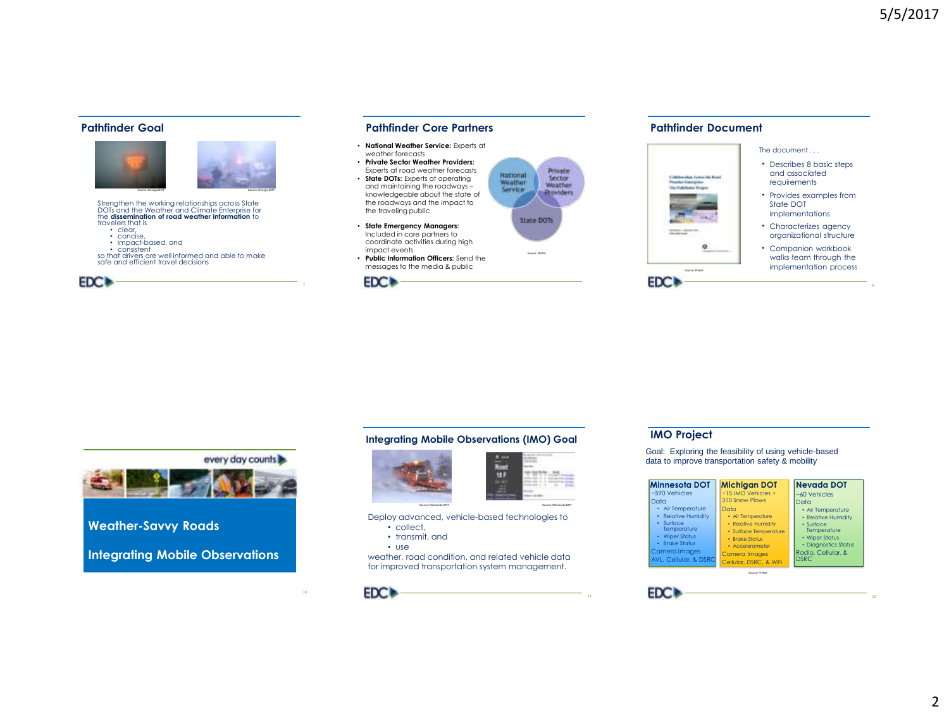#### **Pathfinder Goal**



Strengthen the working relationships across State DOTs and the Weather and Climate Enterprise for the **dissemination of road weather information** to travelers that is • clear, • concise

- impact-based, and
- consistent

so that drivers are well informed and able to make safe and efficient travel decisions



### **Pathfinder Core Partners**

- **National Weather Service:** Experts at weather forecasts
- **Private Sector Weather Providers:**  Experts at road weather forecasts
- **State DOTs:** Experts at operating and maintaining the roadways – knowledgeable about the state of the roadways and the impact to the traveling public
- **State Emergency Managers:**  Included in core partners to coordinate activities during high impact events
- **Public Information Officers:** Send the messages to the media & public



## **Pathfinder Document**



every day counts

**Weather-Savvy Roads**

**Integrating Mobile Observations**

## **Integrating Mobile Observations (IMO) Goal**





Source: FHWA

**State DOTs** 

National

Weather

Service

**Drivate** 

Sector

Weather

**Etoviders** 

Deploy advanced, vehicle-based technologies to

- collect,
- transmit, and
- use

weather, road condition, and related vehicle data for improved transportation system management.



#### **IMO Project**

Goal: Exploring the feasibility of using vehicle-based data to improve transportation safety & mobility